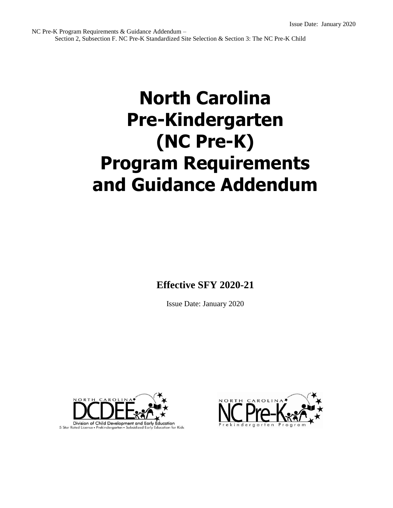# **North Carolina Pre-Kindergarten (NC Pre-K) Program Requirements and Guidance Addendum**

**Effective SFY 2020-21**

Issue Date: January 2020



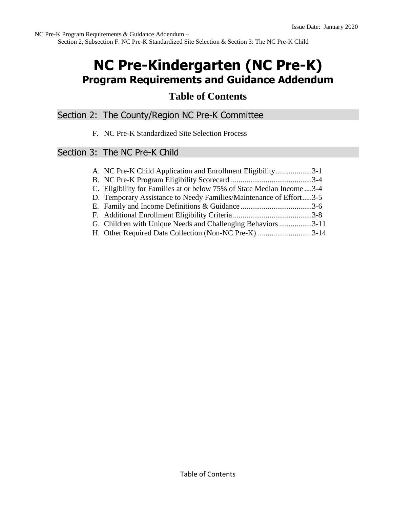# **NC Pre-Kindergarten (NC Pre-K) Program Requirements and Guidance Addendum**

## **Table of Contents**

Section 2: The County/Region NC Pre-K Committee

F. NC Pre-K Standardized Site Selection Process

## Section 3: The NC Pre-K Child

| A. NC Pre-K Child Application and Enrollment Eligibility3-1             |  |
|-------------------------------------------------------------------------|--|
|                                                                         |  |
| C. Eligibility for Families at or below 75% of State Median Income  3-4 |  |
| D. Temporary Assistance to Needy Families/Maintenance of Effort3-5      |  |
|                                                                         |  |
|                                                                         |  |
| G. Children with Unique Needs and Challenging Behaviors3-11             |  |
| H. Other Required Data Collection (Non-NC Pre-K) 3-14                   |  |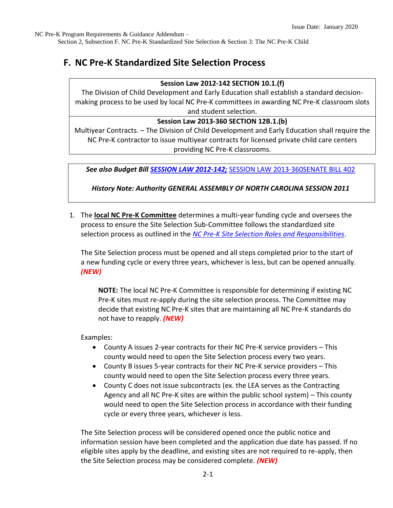Section 2, Subsection F. NC Pre-K Standardized Site Selection & Section 3: The NC Pre-K Child

## **F. NC Pre-K Standardized Site Selection Process**

#### **Session Law 2012-142 SECTION 10.1.(f)**

The Division of Child Development and Early Education shall establish a standard decisionmaking process to be used by local NC Pre-K committees in awarding NC Pre-K classroom slots and student selection.

#### **Session Law 2013-360 SECTION 12B.1.(b)**

Multiyear Contracts. – The Division of Child Development and Early Education shall require the NC Pre-K contractor to issue multiyear contracts for licensed private child care centers providing NC Pre-K classrooms.

*See also Budget Bill [SESSION LAW 2012-142;](https://www.ncleg.net/Sessions/2011/Bills/House/PDF/H950v7.pdf)* [SESSION LAW 2013-360SENATE BILL 402](https://www.ncleg.net/EnactedLegislation/SessionLaws/HTML/2013-2014/SL2013-360.html)

*History Note: Authority GENERAL ASSEMBLY OF NORTH CAROLINA SESSION 2011*

1. The **local NC Pre-K Committee** determines a multi-year funding cycle and oversees the process to ensure the Site Selection Sub-Committee follows the standardized site selection process as outlined in the *[NC Pre-K Site Selection Roles and Responsibilities](https://ncchildcare.ncdhhs.gov/Portals/0/documents/pdf/N/NC_Pre-K_Site_Selection_Roles_and_Responsibilities_October_2019.pdf?ver=2019-10-22-111630-357)*.

The Site Selection process must be opened and all steps completed prior to the start of a new funding cycle or every three years, whichever is less, but can be opened annually. *(NEW)*

**NOTE:** The local NC Pre-K Committee is responsible for determining if existing NC Pre-K sites must re-apply during the site selection process. The Committee may decide that existing NC Pre-K sites that are maintaining all NC Pre-K standards do not have to reapply. *(NEW)*

Examples:

- County A issues 2-year contracts for their NC Pre-K service providers This county would need to open the Site Selection process every two years.
- County B issues 5-year contracts for their NC Pre-K service providers This county would need to open the Site Selection process every three years.
- County C does not issue subcontracts (ex. the LEA serves as the Contracting Agency and all NC Pre-K sites are within the public school system) – This county would need to open the Site Selection process in accordance with their funding cycle or every three years, whichever is less.

The Site Selection process will be considered opened once the public notice and information session have been completed and the application due date has passed. If no eligible sites apply by the deadline, and existing sites are not required to re-apply, then the Site Selection process may be considered complete. *(NEW)*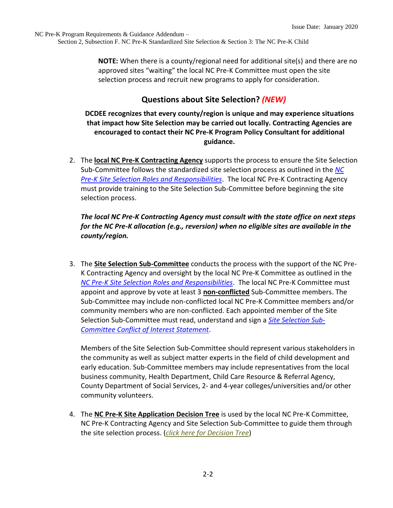**NOTE:** When there is a county/regional need for additional site(s) and there are no approved sites "waiting" the local NC Pre-K Committee must open the site selection process and recruit new programs to apply for consideration.

## **Questions about Site Selection?** *(NEW)*

**DCDEE recognizes that every county/region is unique and may experience situations that impact how Site Selection may be carried out locally. Contracting Agencies are encouraged to contact their NC Pre-K Program Policy Consultant for additional guidance.**

2. The **local NC Pre-K Contracting Agency** supports the process to ensure the Site Selection Sub-Committee follows the standardized site selection process as outlined in the *[NC](https://ncchildcare.ncdhhs.gov/Portals/0/documents/pdf/N/NC_Pre-K_Site_Selection_Roles_and_Responsibilities_October_2019.pdf?ver=2019-10-22-111630-357)  [Pre-K Site Selection Roles and Responsibilities](https://ncchildcare.ncdhhs.gov/Portals/0/documents/pdf/N/NC_Pre-K_Site_Selection_Roles_and_Responsibilities_October_2019.pdf?ver=2019-10-22-111630-357)*. The local NC Pre-K Contracting Agency must provide training to the Site Selection Sub-Committee before beginning the site selection process.

#### *The local NC Pre-K Contracting Agency must consult with the state office on next steps for the NC Pre-K allocation (e.g., reversion) when no eligible sites are available in the county/region.*

3. The **Site Selection Sub-Committee** conducts the process with the support of the NC Pre-K Contracting Agency and oversight by the local NC Pre-K Committee as outlined in the *[NC Pre-K Site Selection Roles and Responsibilities](https://ncchildcare.ncdhhs.gov/Portals/0/documents/pdf/N/NC_Pre-K_Site_Selection_Roles_and_Responsibilities_October_2019.pdf?ver=2019-10-22-111630-357)*. The local NC Pre-K Committee must appoint and approve by vote at least 3 **non-conflicted** Sub-Committee members. The Sub-Committee may include non-conflicted local NC Pre-K Committee members and/or community members who are non-conflicted. Each appointed member of the Site Selection Sub-Committee must read, understand and sign a *[Site Selection Sub-](https://ncchildcare.ncdhhs.gov/Portals/0/documents/pdf/N/NCPre-K_conflict_of_interest_statement.pdf?ver=2019-10-22-104517-850)[Committee Conflict of Interest Statement](https://ncchildcare.ncdhhs.gov/Portals/0/documents/pdf/N/NCPre-K_conflict_of_interest_statement.pdf?ver=2019-10-22-104517-850)*.

Members of the Site Selection Sub-Committee should represent various stakeholders in the community as well as subject matter experts in the field of child development and early education. Sub-Committee members may include representatives from the local business community, Health Department, Child Care Resource & Referral Agency, County Department of Social Services, 2- and 4-year colleges/universities and/or other community volunteers.

4. The **NC Pre-K Site Application Decision Tree** is used by the local NC Pre-K Committee, NC Pre-K Contracting Agency and Site Selection Sub-Committee to guide them through the site selection process. (*[click here for Decision Tree](https://ncchildcare.ncdhhs.gov/Portals/0/documents/pdf/N/NCPre-K_Site_Selection_Application_Decision_Tree_October_2019).pdf?ver=2019-10-16-162516-237)*)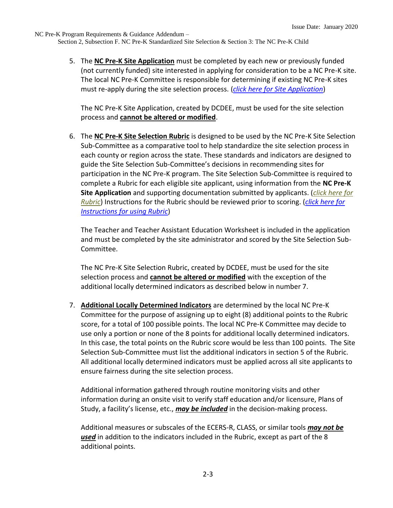> 5. The **NC Pre-K Site Application** must be completed by each new or previously funded (not currently funded) site interested in applying for consideration to be a NC Pre-K site. The local NC Pre-K Committee is responsible for determining if existing NC Pre-K sites must re-apply during the site selection process. (*[click here for Site Application](https://ncchildcare.ncdhhs.gov/Portals/0/documents/pdf/N/NC_Pre-K_Site_Selection%20Application_Sept2019_Fpdf_Nov_2019.pdf?ver=2019-12-02-140244-910)*)

The NC Pre-K Site Application, created by DCDEE, must be used for the site selection process and **cannot be altered or modified**.

6. The **NC Pre-K Site Selection Rubric** is designed to be used by the NC Pre-K Site Selection Sub-Committee as a comparative tool to help standardize the site selection process in each county or region across the state. These standards and indicators are designed to guide the Site Selection Sub-Committee's decisions in recommending sites for participation in the NC Pre-K program. The Site Selection Sub-Committee is required to complete a Rubric for each eligible site applicant, using information from the **NC Pre-K Site Application** and supporting documentation submitted by applicants. (*[click here for](https://ncchildcare.ncdhhs.gov/Portals/0/documents/pdf/N/NC_Pre-K_Site_Selection_Rubric_October_2019.pdf?ver=2019-10-22-110707-807)  [Rubric](https://ncchildcare.ncdhhs.gov/Portals/0/documents/pdf/N/NC_Pre-K_Site_Selection_Rubric_October_2019.pdf?ver=2019-10-22-110707-807)*) Instructions for the Rubric should be reviewed prior to scoring. (*[click here for](https://ncchildcare.ncdhhs.gov/Portals/0/documents/pdf/N/NC_Pre-K_instructions_for_using_Rubric_October_2019.pdf?ver=2019-10-22-135026-330)  [Instructions for using Rubric](https://ncchildcare.ncdhhs.gov/Portals/0/documents/pdf/N/NC_Pre-K_instructions_for_using_Rubric_October_2019.pdf?ver=2019-10-22-135026-330)*)

The Teacher and Teacher Assistant Education Worksheet is included in the application and must be completed by the site administrator and scored by the Site Selection Sub-Committee.

The NC Pre-K Site Selection Rubric, created by DCDEE, must be used for the site selection process and **cannot be altered or modified** with the exception of the additional locally determined indicators as described below in number 7.

7. **Additional Locally Determined Indicators** are determined by the local NC Pre-K Committee for the purpose of assigning up to eight (8) additional points to the Rubric score, for a total of 100 possible points. The local NC Pre-K Committee may decide to use only a portion or none of the 8 points for additional locally determined indicators. In this case, the total points on the Rubric score would be less than 100 points. The Site Selection Sub-Committee must list the additional indicators in section 5 of the Rubric. All additional locally determined indicators must be applied across all site applicants to ensure fairness during the site selection process.

Additional information gathered through routine monitoring visits and other information during an onsite visit to verify staff education and/or licensure, Plans of Study, a facility's license, etc., *may be included* in the decision-making process.

Additional measures or subscales of the ECERS-R, CLASS, or similar tools *may not be used* in addition to the indicators included in the Rubric, except as part of the 8 additional points.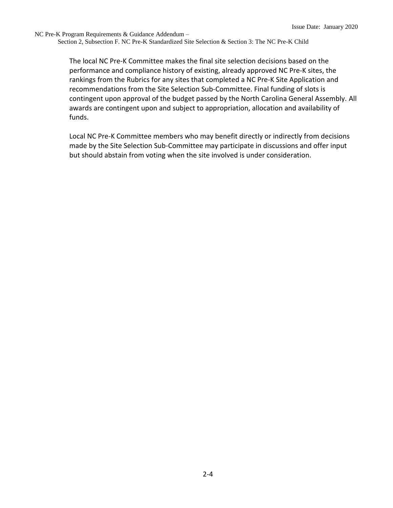> The local NC Pre-K Committee makes the final site selection decisions based on the performance and compliance history of existing, already approved NC Pre-K sites, the rankings from the Rubrics for any sites that completed a NC Pre-K Site Application and recommendations from the Site Selection Sub-Committee. Final funding of slots is contingent upon approval of the budget passed by the North Carolina General Assembly. All awards are contingent upon and subject to appropriation, allocation and availability of funds.

Local NC Pre-K Committee members who may benefit directly or indirectly from decisions made by the Site Selection Sub-Committee may participate in discussions and offer input but should abstain from voting when the site involved is under consideration.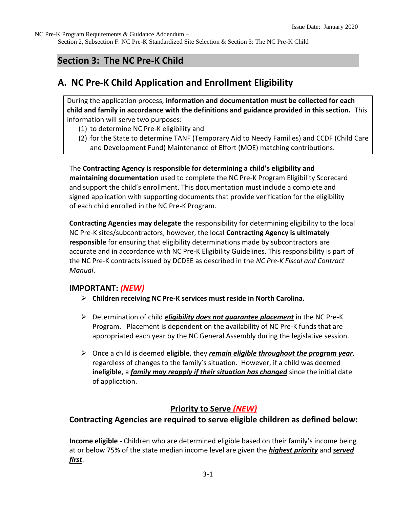Section 2, Subsection F. NC Pre-K Standardized Site Selection & Section 3: The NC Pre-K Child

## **Section 3: The NC Pre-K Child**

## **A. NC Pre-K Child Application and Enrollment Eligibility**

During the application process, **information and documentation must be collected for each child and family in accordance with the definitions and guidance provided in this section.** This information will serve two purposes:

- (1) to determine NC Pre-K eligibility and
- (2) for the State to determine TANF (Temporary Aid to Needy Families) and CCDF (Child Care and Development Fund) Maintenance of Effort (MOE) matching contributions.

The **Contracting Agency is responsible for determining a child's eligibility and maintaining documentation** used to complete the NC Pre-K Program Eligibility Scorecard and support the child's enrollment. This documentation must include a complete and signed application with supporting documents that provide verification for the eligibility of each child enrolled in the NC Pre-K Program.

**Contracting Agencies may delegate** the responsibility for determining eligibility to the local NC Pre-K sites/subcontractors; however, the local **Contracting Agency is ultimately responsible** for ensuring that eligibility determinations made by subcontractors are accurate and in accordance with NC Pre-K Eligibility Guidelines. This responsibility is part of the NC Pre-K contracts issued by DCDEE as described in the *NC Pre-K Fiscal and Contract Manual*.

#### **IMPORTANT:** *(NEW)*

- ➢ **Children receiving NC Pre-K services must reside in North Carolina.**
- ➢ Determination of child *eligibility does not guarantee placement* in the NC Pre-K Program. Placement is dependent on the availability of NC Pre-K funds that are appropriated each year by the NC General Assembly during the legislative session.
- ➢ Once a child is deemed **eligible**, they *remain eligible throughout the program year*, regardless of changes to the family's situation. However, if a child was deemed **ineligible**, a *family may reapply if their situation has changed* since the initial date of application.

## **Priority to Serve** *(NEW)*

#### **Contracting Agencies are required to serve eligible children as defined below:**

**Income eligible -** Children who are determined eligible based on their family's income being at or below 75% of the state median income level are given the *highest priority* and *served first*.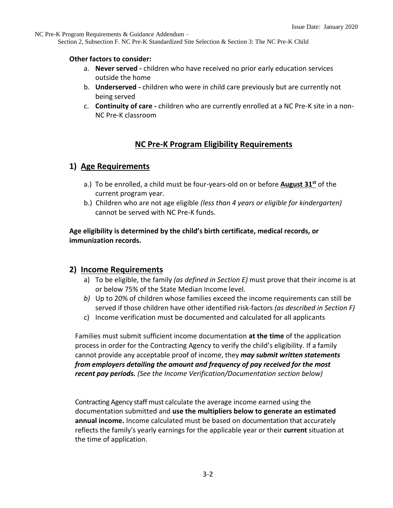Section 2, Subsection F. NC Pre-K Standardized Site Selection & Section 3: The NC Pre-K Child

#### **Other factors to consider:**

- a. **Never served -** children who have received no prior early education services outside the home
- b. **Underserved -** children who were in child care previously but are currently not being served
- c. **Continuity of care -** children who are currently enrolled at a NC Pre-K site in a non-NC Pre-K classroom

## **NC Pre-K Program Eligibility Requirements**

## **1) Age Requirements**

- a.) To be enrolled, a child must be four-years-old on or before **August 31st** of the current program year.
- b.) Children who are not age eligible *(less than 4 years or eligible for kindergarten)* cannot be served with NC Pre-K funds.

#### **Age eligibility is determined by the child's birth certificate, medical records, or immunization records.**

#### **2) Income Requirements**

- a) To be eligible, the family *(as defined in Section E)* must prove that their income is at or below 75% of the State Median Income level.
- *b)* Up to 20% of children whose families exceed the income requirements can still be served if those children have other identified risk-factors *(as described in Section F)*
- c) Income verification must be documented and calculated for all applicants

Families must submit sufficient income documentation **at the time** of the application process in order for the Contracting Agency to verify the child's eligibility. If a family cannot provide any acceptable proof of income, they *may submit written statements from employers detailing the amount and frequency of pay received for the most recent pay periods. (See the Income Verification/Documentation section below)*

Contracting Agency staff must calculate the average income earned using the documentation submitted and **use the multipliers below to generate an estimated annual income.** Income calculated must be based on documentation that accurately reflects the family's yearly earnings for the applicable year or their **current** situation at the time of application.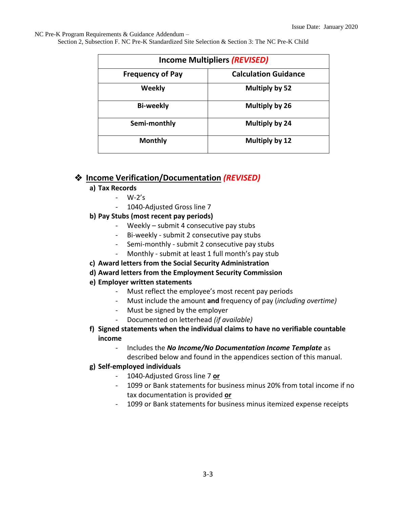Section 2, Subsection F. NC Pre-K Standardized Site Selection & Section 3: The NC Pre-K Child

| <b>Income Multipliers (REVISED)</b> |                             |  |  |
|-------------------------------------|-----------------------------|--|--|
| <b>Frequency of Pay</b>             | <b>Calculation Guidance</b> |  |  |
| Weekly                              | Multiply by 52              |  |  |
| <b>Bi-weekly</b>                    | Multiply by 26              |  |  |
| Semi-monthly                        | Multiply by 24              |  |  |
| <b>Monthly</b>                      | Multiply by 12              |  |  |

## ❖ **Income Verification/Documentation** *(REVISED)*

#### **a) Tax Records**

- W-2's
- 1040-Adjusted Gross line 7

#### **b) Pay Stubs (most recent pay periods)**

- Weekly submit 4 consecutive pay stubs
- Bi-weekly submit 2 consecutive pay stubs
- Semi-monthly submit 2 consecutive pay stubs
- Monthly submit at least 1 full month's pay stub
- **c) Award letters from the Social Security Administration**

#### **d) Award letters from the Employment Security Commission**

- **e) Employer written statements** 
	- Must reflect the employee's most recent pay periods
	- Must include the amount **and** frequency of pay (*including overtime)*
	- Must be signed by the employer
	- Documented on letterhead *(if available)*
- **f) Signed statements when the individual claims to have no verifiable countable income**
	- Includes the *No Income/No Documentation Income Template* as

described below and found in the appendices section of this manual.

#### **g) Self-employed individuals**

- 1040-Adjusted Gross line 7 **or**
- 1099 or Bank statements for business minus 20% from total income if no tax documentation is provided **or**
- 1099 or Bank statements for business minus itemized expense receipts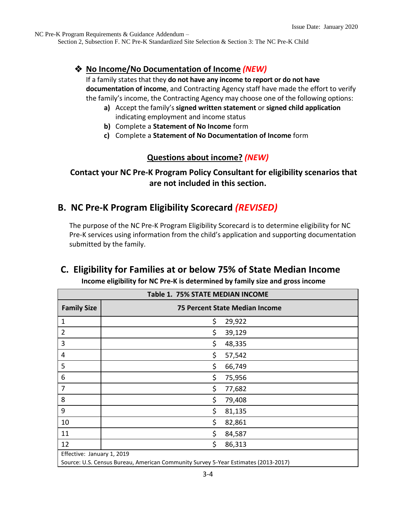Section 2, Subsection F. NC Pre-K Standardized Site Selection & Section 3: The NC Pre-K Child

## ❖ **No Income/No Documentation of Income** *(NEW)*

If a family states that they **do not have any income to report or do not have documentation of income**, and Contracting Agency staff have made the effort to verify the family's income, the Contracting Agency may choose one of the following options:

- **a)** Accept the family's **signed written statement** or **signed child application** indicating employment and income status
- **b)** Complete a **Statement of No Income** form
- **c)** Complete a **Statement of No Documentation of Income** form

## **Questions about income?** *(NEW)*

## **Contact your NC Pre-K Program Policy Consultant for eligibility scenarios that are not included in this section.**

## **B. NC Pre-K Program Eligibility Scorecard** *(REVISED)*

The purpose of the NC Pre-K Program Eligibility Scorecard is to determine eligibility for NC Pre-K services using information from the child's application and supporting documentation submitted by the family.

# **C. Eligibility for Families at or below 75% of State Median Income**

 **Income eligibility for NC Pre-K is determined by family size and gross income** 

| Table 1. 75% STATE MEDIAN INCOME |                                                                                    |  |  |  |
|----------------------------------|------------------------------------------------------------------------------------|--|--|--|
| <b>Family Size</b>               | <b>75 Percent State Median Income</b>                                              |  |  |  |
| $\mathbf 1$                      | \$<br>29,922                                                                       |  |  |  |
| $\overline{2}$                   | \$<br>39,129                                                                       |  |  |  |
| 3                                | \$<br>48,335                                                                       |  |  |  |
| 4                                | \$<br>57,542                                                                       |  |  |  |
| 5                                | \$<br>66,749                                                                       |  |  |  |
| 6                                | \$<br>75,956                                                                       |  |  |  |
| 7                                | \$<br>77,682                                                                       |  |  |  |
| 8                                | \$<br>79,408                                                                       |  |  |  |
| 9                                | \$<br>81,135                                                                       |  |  |  |
| 10                               | \$<br>82,861                                                                       |  |  |  |
| 11                               | \$<br>84,587                                                                       |  |  |  |
| 12                               | \$<br>86,313                                                                       |  |  |  |
| Effective: January 1, 2019       |                                                                                    |  |  |  |
|                                  | Source: U.S. Census Bureau, American Community Survey 5-Year Estimates (2013-2017) |  |  |  |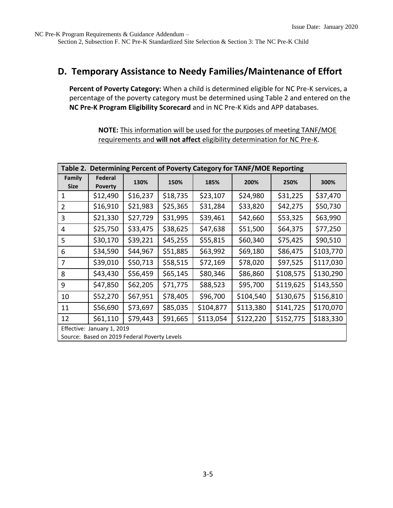Section 2, Subsection F. NC Pre-K Standardized Site Selection & Section 3: The NC Pre-K Child

## **D. Temporary Assistance to Needy Families/Maintenance of Effort**

**Percent of Poverty Category:** When a child is determined eligible for NC Pre-K services, a percentage of the poverty category must be determined using Table 2 and entered on the **NC Pre-K Program Eligibility Scorecard** and in NC Pre-K Kids and APP databases.

> **NOTE:** This information will be used for the purposes of meeting TANF/MOE requirements and **will not affect** eligibility determination for NC Pre-K.

| Determining Percent of Poverty Category for TANF/MOE Reporting<br>Table 2. |                           |          |          |           |           |           |           |
|----------------------------------------------------------------------------|---------------------------|----------|----------|-----------|-----------|-----------|-----------|
| Family<br><b>Size</b>                                                      | Federal<br><b>Poverty</b> | 130%     | 150%     | 185%      | 200%      | 250%      | 300%      |
| $\mathbf 1$                                                                | \$12,490                  | \$16,237 | \$18,735 | \$23,107  | \$24,980  | \$31,225  | \$37,470  |
| $\overline{2}$                                                             | \$16,910                  | \$21,983 | \$25,365 | \$31,284  | \$33,820  | \$42,275  | \$50,730  |
| 3                                                                          | \$21,330                  | \$27,729 | \$31,995 | \$39,461  | \$42,660  | \$53,325  | \$63,990  |
| 4                                                                          | \$25,750                  | \$33,475 | \$38,625 | \$47,638  | \$51,500  | \$64,375  | \$77,250  |
| 5                                                                          | \$30,170                  | \$39,221 | \$45,255 | \$55,815  | \$60,340  | \$75,425  | \$90,510  |
| 6                                                                          | \$34,590                  | \$44,967 | \$51,885 | \$63,992  | \$69,180  | \$86,475  | \$103,770 |
| $\overline{7}$                                                             | \$39,010                  | \$50,713 | \$58,515 | \$72,169  | \$78,020  | \$97,525  | \$117,030 |
| 8                                                                          | \$43,430                  | \$56,459 | \$65,145 | \$80,346  | \$86,860  | \$108,575 | \$130,290 |
| 9                                                                          | \$47,850                  | \$62,205 | \$71,775 | \$88,523  | \$95,700  | \$119,625 | \$143,550 |
| 10                                                                         | \$52,270                  | \$67,951 | \$78,405 | \$96,700  | \$104,540 | \$130,675 | \$156,810 |
| 11                                                                         | \$56,690                  | \$73,697 | \$85,035 | \$104,877 | \$113,380 | \$141,725 | \$170,070 |
| 12                                                                         | \$61,110                  | \$79,443 | \$91,665 | \$113,054 | \$122,220 | \$152,775 | \$183,330 |
| Effective: January 1, 2019                                                 |                           |          |          |           |           |           |           |
| Source: Based on 2019 Federal Poverty Levels                               |                           |          |          |           |           |           |           |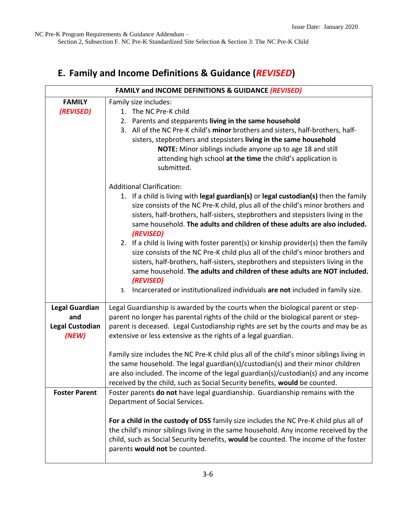Section 2, Subsection F. NC Pre-K Standardized Site Selection & Section 3: The NC Pre-K Child

# **E. Family and Income Definitions & Guidance (***REVISED***)**

| FAMILY and INCOME DEFINITIONS & GUIDANCE (REVISED) |                                                                                          |  |  |  |
|----------------------------------------------------|------------------------------------------------------------------------------------------|--|--|--|
| <b>FAMILY</b>                                      | Family size includes:                                                                    |  |  |  |
| (REVISED)                                          | 1. The NC Pre-K child                                                                    |  |  |  |
|                                                    | 2. Parents and stepparents living in the same household                                  |  |  |  |
|                                                    | 3. All of the NC Pre-K child's minor brothers and sisters, half-brothers, half-          |  |  |  |
|                                                    | sisters, stepbrothers and stepsisters living in the same household                       |  |  |  |
|                                                    | NOTE: Minor siblings include anyone up to age 18 and still                               |  |  |  |
|                                                    | attending high school at the time the child's application is                             |  |  |  |
|                                                    | submitted.                                                                               |  |  |  |
|                                                    | <b>Additional Clarification:</b>                                                         |  |  |  |
|                                                    | 1. If a child is living with legal guardian(s) or legal custodian(s) then the family     |  |  |  |
|                                                    | size consists of the NC Pre-K child, plus all of the child's minor brothers and          |  |  |  |
|                                                    | sisters, half-brothers, half-sisters, stepbrothers and stepsisters living in the         |  |  |  |
|                                                    | same household. The adults and children of these adults are also included.<br>(REVISED)  |  |  |  |
|                                                    | 2. If a child is living with foster parent(s) or kinship provider(s) then the family     |  |  |  |
|                                                    | size consists of the NC Pre-K child plus all of the child's minor brothers and           |  |  |  |
|                                                    | sisters, half-brothers, half-sisters, stepbrothers and stepsisters living in the         |  |  |  |
|                                                    | same household. The adults and children of these adults are NOT included.                |  |  |  |
|                                                    | (REVISED)                                                                                |  |  |  |
|                                                    | 3. Incarcerated or institutionalized individuals are not included in family size.        |  |  |  |
| <b>Legal Guardian</b>                              | Legal Guardianship is awarded by the courts when the biological parent or step-          |  |  |  |
| and                                                | parent no longer has parental rights of the child or the biological parent or step-      |  |  |  |
| <b>Legal Custodian</b>                             | parent is deceased. Legal Custodianship rights are set by the courts and may be as       |  |  |  |
| (NEW)                                              | extensive or less extensive as the rights of a legal guardian.                           |  |  |  |
|                                                    | Family size includes the NC Pre-K child plus all of the child's minor siblings living in |  |  |  |
|                                                    | the same household. The legal guardian(s)/custodian(s) and their minor children          |  |  |  |
|                                                    | are also included. The income of the legal guardian(s)/custodian(s) and any income       |  |  |  |
|                                                    | received by the child, such as Social Security benefits, would be counted.               |  |  |  |
| <b>Foster Parent</b>                               | Foster parents do not have legal guardianship. Guardianship remains with the             |  |  |  |
|                                                    | Department of Social Services.                                                           |  |  |  |
|                                                    | For a child in the custody of DSS family size includes the NC Pre-K child plus all of    |  |  |  |
|                                                    | the child's minor siblings living in the same household. Any income received by the      |  |  |  |
|                                                    | child, such as Social Security benefits, would be counted. The income of the foster      |  |  |  |
|                                                    | parents would not be counted.                                                            |  |  |  |
|                                                    |                                                                                          |  |  |  |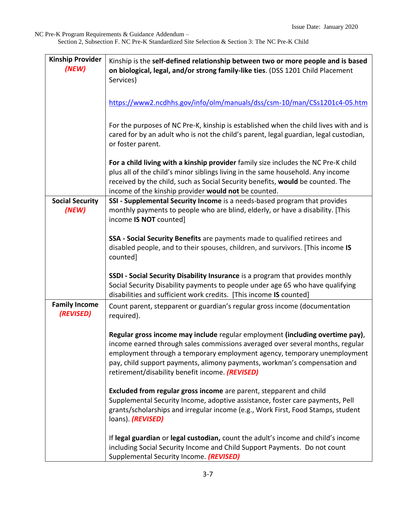| <b>Kinship Provider</b><br>(NEW)  | Kinship is the self-defined relationship between two or more people and is based<br>on biological, legal, and/or strong family-like ties. (DSS 1201 Child Placement<br>Services)                                                                                                                                                                                           |
|-----------------------------------|----------------------------------------------------------------------------------------------------------------------------------------------------------------------------------------------------------------------------------------------------------------------------------------------------------------------------------------------------------------------------|
|                                   | https://www2.ncdhhs.gov/info/olm/manuals/dss/csm-10/man/CSs1201c4-05.htm                                                                                                                                                                                                                                                                                                   |
|                                   | For the purposes of NC Pre-K, kinship is established when the child lives with and is<br>cared for by an adult who is not the child's parent, legal guardian, legal custodian,<br>or foster parent.                                                                                                                                                                        |
|                                   | For a child living with a kinship provider family size includes the NC Pre-K child<br>plus all of the child's minor siblings living in the same household. Any income<br>received by the child, such as Social Security benefits, would be counted. The<br>income of the kinship provider would not be counted.                                                            |
| <b>Social Security</b><br>(NEW)   | SSI - Supplemental Security Income is a needs-based program that provides<br>monthly payments to people who are blind, elderly, or have a disability. [This<br>income IS NOT counted]                                                                                                                                                                                      |
|                                   | SSA - Social Security Benefits are payments made to qualified retirees and<br>disabled people, and to their spouses, children, and survivors. [This income IS<br>counted]                                                                                                                                                                                                  |
|                                   | SSDI - Social Security Disability Insurance is a program that provides monthly<br>Social Security Disability payments to people under age 65 who have qualifying<br>disabilities and sufficient work credits. [This income IS counted]                                                                                                                                     |
| <b>Family Income</b><br>(REVISED) | Count parent, stepparent or guardian's regular gross income (documentation<br>required).                                                                                                                                                                                                                                                                                   |
|                                   | Regular gross income may include regular employment (including overtime pay),<br>income earned through sales commissions averaged over several months, regular<br>employment through a temporary employment agency, temporary unemployment<br>pay, child support payments, alimony payments, workman's compensation and<br>retirement/disability benefit income. (REVISED) |
|                                   | Excluded from regular gross income are parent, stepparent and child<br>Supplemental Security Income, adoptive assistance, foster care payments, Pell<br>grants/scholarships and irregular income (e.g., Work First, Food Stamps, student<br>loans). (REVISED)                                                                                                              |
|                                   | If legal guardian or legal custodian, count the adult's income and child's income<br>including Social Security Income and Child Support Payments. Do not count<br>Supplemental Security Income. (REVISED)                                                                                                                                                                  |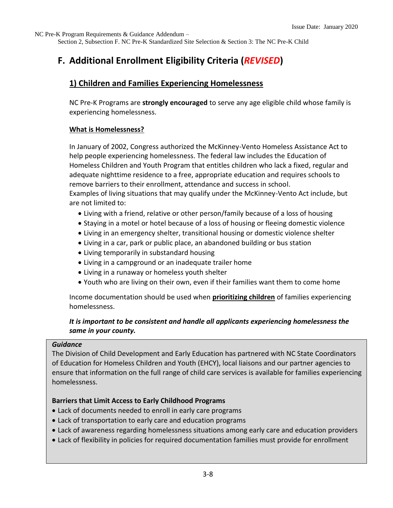Section 2, Subsection F. NC Pre-K Standardized Site Selection & Section 3: The NC Pre-K Child

# **F. Additional Enrollment Eligibility Criteria (***REVISED***)**

## **1) Children and Families Experiencing Homelessness**

NC Pre-K Programs are **strongly encouraged** to serve any age eligible child whose family is experiencing homelessness.

#### **What is Homelessness?**

In January of 2002, Congress authorized the McKinney-Vento Homeless Assistance Act to help people experiencing homelessness. The federal law includes the Education of Homeless Children and Youth Program that entitles children who lack a fixed, regular and adequate nighttime residence to a free, appropriate education and requires schools to remove barriers to their enrollment, attendance and success in school.

Examples of living situations that may qualify under the McKinney-Vento Act include, but are not limited to:

- Living with a friend, relative or other person/family because of a loss of housing
- Staying in a motel or hotel because of a loss of housing or fleeing domestic violence
- Living in an emergency shelter, transitional housing or domestic violence shelter
- Living in a car, park or public place, an abandoned building or bus station
- Living temporarily in substandard housing
- Living in a campground or an inadequate trailer home
- Living in a runaway or homeless youth shelter
- Youth who are living on their own, even if their families want them to come home

Income documentation should be used when **prioritizing children** of families experiencing homelessness.

## *It is important to be consistent and handle all applicants experiencing homelessness the same in your county.*

#### *Guidance*

The Division of Child Development and Early Education has partnered with NC State Coordinators of Education for Homeless Children and Youth (EHCY), local liaisons and our partner agencies to ensure that information on the full range of child care services is available for families experiencing homelessness.

#### **Barriers that Limit Access to Early Childhood Programs**

- Lack of documents needed to enroll in early care programs
- Lack of transportation to early care and education programs
- Lack of awareness regarding homelessness situations among early care and education providers
- Lack of flexibility in policies for required documentation families must provide for enrollment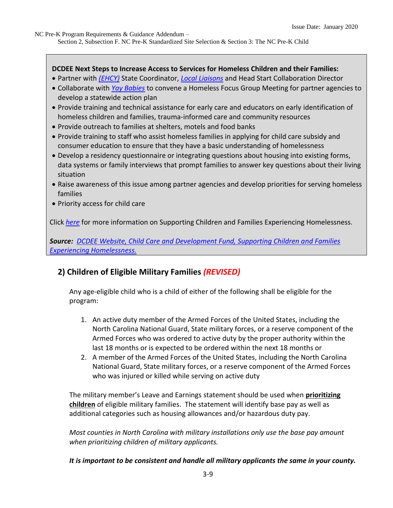#### **DCDEE Next Steps to Increase Access to Services for Homeless Children and their Families:**

- Partner with *[\(EHCY\)](http://www.occ-cmc.org/stam2016/SessionMaterials/STAM_2016_Homelessness_PPT_updated_508C.pdf)* State Coordinator, *[Local Liaisons](http://center.serve.org/hepnc/liaison_corner.php)* and Head Start Collaboration Director
- Collaborate with *[Yay Babies](https://hearus.us/projects/ybyk.html)* to convene a Homeless Focus Group Meeting for partner agencies to develop a statewide action plan
- Provide training and technical assistance for early care and educators on early identification of homeless children and families, trauma-informed care and community resources
- Provide outreach to families at shelters, motels and food banks
- Provide training to staff who assist homeless families in applying for child care subsidy and consumer education to ensure that they have a basic understanding of homelessness
- Develop a residency questionnaire or integrating questions about housing into existing forms, data systems or family interviews that prompt families to answer key questions about their living situation
- Raise awareness of this issue among partner agencies and develop priorities for serving homeless families
- Priority access for child care

Click *[here](http://ncchildcare.dhhs.state.nc.us/PDF_forms/Services_for_Homeless_Children_Families.pdf)* for more information on Supporting Children and Families Experiencing Homelessness.

*Source: [DCDEE Website, Child Care and Development Fund, Supporting Children and Families](http://ncchildcare.dhhs.state.nc.us/general/mb_ccdfund.asp)  [Experiencing Homelessness.](http://ncchildcare.dhhs.state.nc.us/general/mb_ccdfund.asp)*

## **2) Children of Eligible Military Families** *(REVISED)*

Any age-eligible child who is a child of either of the following shall be eligible for the program:

- 1. An active duty member of the Armed Forces of the United States, including the North Carolina National Guard, State military forces, or a reserve component of the Armed Forces who was ordered to active duty by the proper authority within the last 18 months or is expected to be ordered within the next 18 months or
- 2. A member of the Armed Forces of the United States, including the North Carolina National Guard, State military forces, or a reserve component of the Armed Forces who was injured or killed while serving on active duty

The military member's Leave and Earnings statement should be used when **prioritizing children** of eligible military families. The statement will identify base pay as well as additional categories such as housing allowances and/or hazardous duty pay.

*Most counties in North Carolina with military installations only use the base pay amount when prioritizing children of military applicants.* 

*It is important to be consistent and handle all military applicants the same in your county.*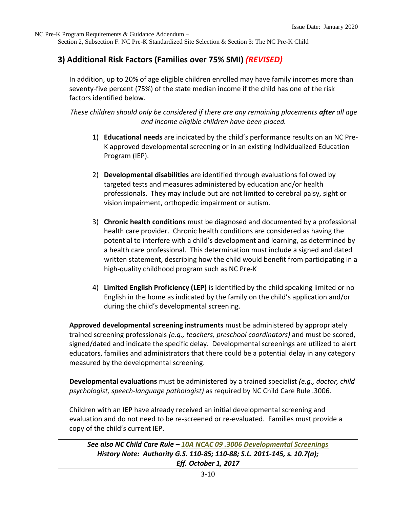Section 2, Subsection F. NC Pre-K Standardized Site Selection & Section 3: The NC Pre-K Child

## **3) Additional Risk Factors (Families over 75% SMI)** *(REVISED)*

In addition, up to 20% of age eligible children enrolled may have family incomes more than seventy-five percent (75%) of the state median income if the child has one of the risk factors identified below.

*These children should only be considered if there are any remaining placements after all age and income eligible children have been placed.*

- 1) **Educational needs** are indicated by the child's performance results on an NC Pre-K approved developmental screening or in an existing Individualized Education Program (IEP).
- 2) **Developmental disabilities** are identified through evaluations followed by targeted tests and measures administered by education and/or health professionals. They may include but are not limited to cerebral palsy, sight or vision impairment, orthopedic impairment or autism.
- 3) **Chronic health conditions** must be diagnosed and documented by a professional health care provider. Chronic health conditions are considered as having the potential to interfere with a child's development and learning, as determined by a health care professional. This determination must include a signed and dated written statement, describing how the child would benefit from participating in a high-quality childhood program such as NC Pre-K
- 4) **Limited English Proficiency (LEP)** is identified by the child speaking limited or no English in the home as indicated by the family on the child's application and/or during the child's developmental screening.

**Approved developmental screening instruments** must be administered by appropriately trained screening professionals *(e.g., teachers, preschool coordinators)* and must be scored, signed/dated and indicate the specific delay. Developmental screenings are utilized to alert educators, families and administrators that there could be a potential delay in any category measured by the developmental screening.

**Developmental evaluations** must be administered by a trained specialist *(e.g., doctor, child psychologist, speech-language pathologist)* as required by NC Child Care Rule .3006.

Children with an **IEP** have already received an initial developmental screening and evaluation and do not need to be re-screened or re-evaluated. Families must provide a copy of the child's current IEP.

```
See also NC Child Care Rule – 10A NCAC 09 .3006 Developmental Screenings
History Note: Authority G.S. 110-85; 110-88; S.L. 2011-145, s. 10.7(a);
                        Eff. October 1, 2017
```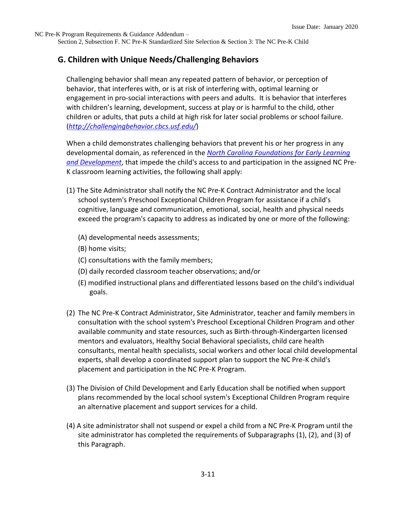Section 2, Subsection F. NC Pre-K Standardized Site Selection & Section 3: The NC Pre-K Child

#### **G. Children with Unique Needs/Challenging Behaviors**

Challenging behavior shall mean any repeated pattern of behavior, or perception of behavior, that interferes with, or is at risk of interfering with, optimal learning or engagement in pro-social interactions with peers and adults. It is behavior that interferes with children's learning, development, success at play or is harmful to the child, other children or adults, that puts a child at high risk for later social problems or school failure. (*<http://challengingbehavior.cbcs.usf.edu/>*)

When a child demonstrates challenging behaviors that prevent his or her progress in any developmental domain, as referenced in the *[North Carolina Foundations for Early Learning](http://ncchildcare.nc.gov/providers/pv_foundations.asp)  [and Development](http://ncchildcare.nc.gov/providers/pv_foundations.asp)*, that impede the child's access to and participation in the assigned NC Pre-K classroom learning activities, the following shall apply:

- (1) The Site Administrator shall notify the NC Pre-K Contract Administrator and the local school system's Preschool Exceptional Children Program for assistance if a child's cognitive, language and communication, emotional, social, health and physical needs exceed the program's capacity to address as indicated by one or more of the following:
	- (A) developmental needs assessments;
	- (B) home visits;
	- (C) consultations with the family members;
	- (D) daily recorded classroom teacher observations; and/or
	- (E) modified instructional plans and differentiated lessons based on the child's individual goals.
- (2) The NC Pre-K Contract Administrator, Site Administrator, teacher and family members in consultation with the school system's Preschool Exceptional Children Program and other available community and state resources, such as Birth-through-Kindergarten licensed mentors and evaluators, Healthy Social Behavioral specialists, child care health consultants, mental health specialists, social workers and other local child developmental experts, shall develop a coordinated support plan to support the NC Pre-K child's placement and participation in the NC Pre-K Program.
- (3) The Division of Child Development and Early Education shall be notified when support plans recommended by the local school system's Exceptional Children Program require an alternative placement and support services for a child.
- (4) A site administrator shall not suspend or expel a child from a NC Pre-K Program until the site administrator has completed the requirements of Subparagraphs (1), (2), and (3) of this Paragraph.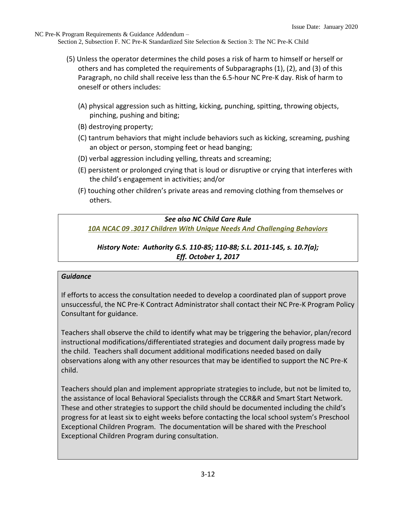- (5) Unless the operator determines the child poses a risk of harm to himself or herself or others and has completed the requirements of Subparagraphs (1), (2), and (3) of this Paragraph, no child shall receive less than the 6.5-hour NC Pre-K day. Risk of harm to oneself or others includes:
	- (A) physical aggression such as hitting, kicking, punching, spitting, throwing objects, pinching, pushing and biting;
	- (B) destroying property;
	- (C) tantrum behaviors that might include behaviors such as kicking, screaming, pushing an object or person, stomping feet or head banging;
	- (D) verbal aggression including yelling, threats and screaming;
	- (E) persistent or prolonged crying that is loud or disruptive or crying that interferes with the child's engagement in activities; and/or
	- (F) touching other children's private areas and removing clothing from themselves or others.

#### *See also NC Child Care Rule*

*[10A NCAC 09 .3017 Children With Unique Needs And Challenging Behaviors](https://ncchildcare.ncdhhs.gov/Portals/0/documents/pdf/N/NCPre-K_rule3000October2017.pdf)*

#### *History Note: Authority G.S. 110-85; 110-88; S.L. 2011-145, s. 10.7(a); Eff. October 1, 2017*

#### *Guidance*

If efforts to access the consultation needed to develop a coordinated plan of support prove unsuccessful, the NC Pre-K Contract Administrator shall contact their NC Pre-K Program Policy Consultant for guidance.

Teachers shall observe the child to identify what may be triggering the behavior, plan/record instructional modifications/differentiated strategies and document daily progress made by the child. Teachers shall document additional modifications needed based on daily observations along with any other resources that may be identified to support the NC Pre-K child.

Teachers should plan and implement appropriate strategies to include, but not be limited to, the assistance of local Behavioral Specialists through the CCR&R and Smart Start Network. These and other strategies to support the child should be documented including the child's progress for at least six to eight weeks before contacting the local school system's Preschool Exceptional Children Program. The documentation will be shared with the Preschool Exceptional Children Program during consultation.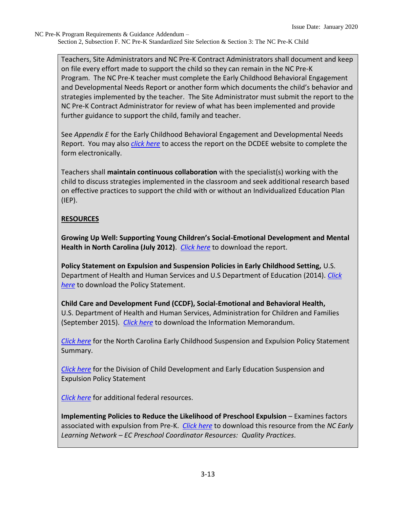Teachers, Site Administrators and NC Pre-K Contract Administrators shall document and keep on file every effort made to support the child so they can remain in the NC Pre-K Program. The NC Pre-K teacher must complete the Early Childhood Behavioral Engagement and Developmental Needs Report or another form which documents the child's behavior and strategies implemented by the teacher. The Site Administrator must submit the report to the NC Pre-K Contract Administrator for review of what has been implemented and provide further guidance to support the child, family and teacher.

See *Appendix E* for the Early Childhood Behavioral Engagement and Developmental Needs Report. You may also *[click here](https://ncchildcare.ncdhhs.gov/Portals/0/documents/doc/Early_Childhood_Behavioral_Engagement_and_Developmental_Needs_ReportFINAL.doc)* to access the report on the DCDEE website to complete the form electronically.

Teachers shall **maintain continuous collaboration** with the specialist(s) working with the child to discuss strategies implemented in the classroom and seek additional research based on effective practices to support the child with or without an Individualized Education Plan (IEP).

## **RESOURCES**

**Growing Up Well: Supporting Young Children's Social-Emotional Development and Mental Health in North Carolina (July 2012)**. *[Click here](http://nciom.org/wp-content/uploads/2017/08/Early-Childhood.pdf)* to download the report.

**Policy Statement on Expulsion and Suspension Policies in Early Childhood Setting,** U.S. Department of Health and Human Services and U.S Department of Education (2014). *[Click](http://www2.ed.gov/policy/gen/guid/school-discipline/policy-statement-ece-expulsions-suspensions.pdf)  [here](http://www2.ed.gov/policy/gen/guid/school-discipline/policy-statement-ece-expulsions-suspensions.pdf)* to download the Policy Statement.

**Child Care and Development Fund (CCDF), Social-Emotional and Behavioral Health,**  U.S. Department of Health and Human Services, Administration for Children and Families (September 2015). *[Click here](http://www.acf.hhs.gov/sites/default/files/occ/ccdf_acf_im_2015_01.pdf)* to download the Information Memorandum.

*[Click here](http://ncchildcare.nc.gov/PDF_forms/Early_Childhood_Suspension_Expulsion_Policy.pdf)* for the North Carolina Early Childhood Suspension and Expulsion Policy Statement Summary.

*[Click here](http://ncchildcare.nc.gov/PDF_forms/DCDEE_Suspension_and_Expulsion_Policy.pdf)* for the Division of Child Development and Early Education Suspension and Expulsion Policy Statement

*[Click here](http://www2.ed.gov/policy/gen/guid/school-discipline/index.html)* for additional federal resources.

**Implementing Policies to Reduce the Likelihood of Preschool Expulsion** – Examines factors associated with expulsion from Pre-K. *[Click here](http://nceln.fpg.unc.edu/ec-preschool-coordinator-resources-quality-practices)* to download this resource from the *NC Early Learning Network – EC Preschool Coordinator Resources: Quality Practices*.